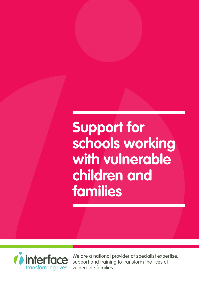# **Support for schools working with vulnerable children and families**



We are a national provider of specialist expertise, support and training to transform the lives of vulnerable families.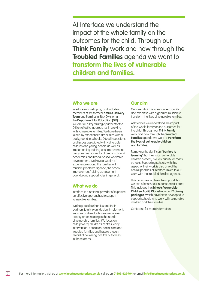At Interface we understand the impact of the whole family on the outcomes for the child. Through our **Think Family** work and now through the **Troubled Families** agenda we want to **transform the lives of vulnerable children and families.**

#### **Who we are**

Interface was set up by, and includes, members of the former **Families Delivery Team** and Families at Risk Division at the **Department for Education (DfE)**. We are still a key strategic partner for the DfE on effective approaches in working with vulnerable families. We have been joined by experienced associates with a background in schools, Ofsted inspections and issues associated with vulnerable children and young people as well as implementing training and improvement programmes across local areas, schools/ academies and broad-based workforce development. We have a wealth of experience around the families with multiple problems agenda, the school improvement/raising achievement agenda and support roles in general.

## **What we do**

Interface is a national provider of expertise on effective approaches to support vulnerable families.

We help local authorities and their partners jointly plan, design, implement, improve and evaluate services across priority areas relating to the needs of vulnerable families. We focus on child poverty, children's centres, early intervention, education, social care and troubled families and have a proven record of delivering positive outcomes in these areas.

### **Our aim**

Our overall aim is to enhance capacity and expertise with a genuine mission to transform the lives of vulnerable families.

At Interface we understand the impact of the whole family on the outcomes for the child. Through our **Think Family** work and now through the **Troubled Families** agenda we want to **transform the lives of vulnerable children and families.**

Removing the significant **'barriers to learning'** that their most vulnerable children present, is a key priority for many schools. Supporting schools with this aspect of their work is also one of the central priorities of Interface linked to our work with the troubled families agenda.

This document outlines the support that we can offer schools in our specialist area. This includes the **Schools Vulnerable Children Audit, Workshops** and **Training packages**, which have been developed to support schools who work with vulnerable children and their families.

Contact us for more information.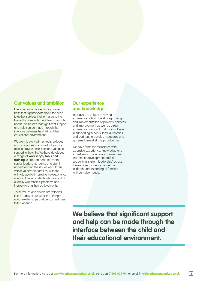## **Our values and ambition**

Interface has an underpinning value base that is passionate about the need to deliver services that turn around the lives of families with multiple and complex needs. We believe that significant support and help can be made through the interface between the child and their educational environment.

We want to work with schools, colleges and academies to ensure that you are able to provide necessary and valuable support to the child. We have developed a range of **workshops, tools and training** to support head teachers, senior leadership teams and staff in understanding the issues of children within vulnerable families, with the ultimate goal of improving the experience of education for students who are part of a family with multiple problems and thereby raising their achievements.

These values and drivers are reflected in the quality of our work, the strength of our relationships and our commitment to this agenda.

## **Our experience and knowledge**

Interface are unique in having experience of both the strategic design and implementation of projects, services and improvement as well as direct experience at a local and practical level in supporting schools, local authorities and partners to develop measures and systems to meet strategic outcomes.

We have fantastic associates with extensive experience, knowledge and expertise across school improvement, leadership development and in supporting 'system leadership' across the early years' sector as well as an in-depth understanding of families with complex needs.

**We believe that significant support and help can be made through the interface between the child and their educational environment.**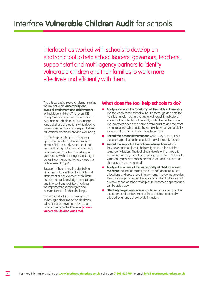Interface has worked with schools to develop an electronic tool to help school leaders, governors, teachers, support staff and multi-agency partners to identify vulnerable children and their families to work more effectively and efficiently with them.

There is extensive research demonstrating the link between **vulnerability and levels of attainment and achievement**  for individual children. The recent DfE Family Stressors research provides clear evidence that children can experience a range of stressful situations which lead to potential vulnerability with respect to their educational development and well-being.

The findings are helpful in flagging up the areas where children may be at risk of failing badly on educational and well being outcomes, and where interventions (by schools working in partnership with other agencies) might be justifiably targeted to help close the 'achievement gaps'.

Research tells us there is potentially a direct link between the vulnerability and attainment or achievement of children. Converting that knowledge into strategies and interventions is difficult. Tracking the impact of those strategies and interventions is a further challenge.

The factors identified in the research as having a clear impact on children's educational achievement have been incorporated into the Interface **Schools Vulnerable Children Audit tool**.

### **What does the tool help schools to do?**

- **Analyse in-depth the 'anatomy' of the child's vulnerability.** The tool enables the school to input a thorough and detailed holistic analysis – using a range of vulnerability indicators – to identify the potential vulnerability of children in the school. The indicators have been derived from practice and the most recent research which establishes links between vulnerability factors and children's academic achievement
- **Record the actions/interventions** which they have put into place to help mitigate the effects of the vulnerability factors
- **Record the impact of the actions/interventions** which they have put into place to help mitigate the effects of the vulnerability factors. The tool allows details of the impact to be entered as text, as well as enabling up to three up-to-date vulnerability assessments to be made for each child so that changes can be recognised
- **Analyse the nature of the vulnerability of children across the school** so that decisions can be made about resource allocations and group level interventions. The tool aggregates the individual pupil vulnerability profiles of the children so that a whole cohort or school wide picture becomes apparent and can be acted upon
- **Effectively target resources** and interventions to support the attainment and achievement of those children potentially affected by a range of vulnerability factors.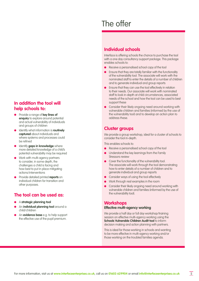## **In addition the tool will help schools to:**

- Provide a range of **key lines of enquiry** to explore around potential and actual vulnerability of individuals and groups of children
- Identify what information is **routinely captured** about individuals and where systems and processes could be refined
- Identify **gaps in knowledge** where more detailed knowledge of a child's potential vulnerability may be required
- Work with multi-agency partners to consider, in some depth, the challenges a child is facing and how best to put in place mitigating actions/interventions
- Provide detailed printed **reports** on individual children for transition and other purposes.

## **The tool can be used as:**

- A **strategic planning tool**
- An **individual planning tool** around a child/children
- An **evidence base** e.g. to help support the effective use of the pupil premium.

## The offer

## **Individual schools**

Interface is offering schools the chance to purchase the tool with a one day consultancy support package. This package enables schools to:

- Receive a personalised school copy of the tool
- Ensure that they are totally familiar with the functionality of the vulnerability tool. The associate will work with the nominated staff to enter the details of a number of children and to generate individual and group reports
- Ensure that they can use the tool effectively in relation to their needs. Our associate will work with nominated staff to look in-depth at child circumstances, associated needs of the school and how the tool can be used to best support these
- **•** Consider their likely ongoing need around working with vulnerable children and families (informed by the use of the vulnerability tool) and to develop an action plan to address these.

## **Cluster groups**

We provide a group workshop, ideal for a cluster of schools to consider the tool in-depth.

This enables schools to:

- Receive a personalised school copy of the tool
- Understand the key learnings from the Family Stressors review
- **•** Cover the functionality of the vulnerability tool. The associate will work through the tool demonstrating how to enter details of a number of children and to generate individual and group reports
- **Consider ways of using the tool effectively**
- Work through real examples in the room
- Consider their likely ongoing need around working with vulnerable children and families (informed by the use of the vulnerability tool).

### **Workshops Effective multi-agency working**

We provide a half day or full day workshop/training session on effective multi-agency working using the **Schools Vulnerable Children Audit tool** to inform decision making and action planning with partners.

This is ideal for those working in schools and wanting to be more effective in multi-agency working and/or those working on the troubled families agenda.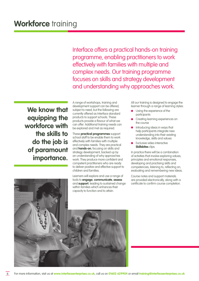Interface offers a practical hands-on training programme, enabling practitioners to work effectively with families with multiple and complex needs. Our training programme focuses on skills and strategy development and understanding why approaches work.

**We know that equipping the workforce with the skills to do the job is of paramount importance.**

A range of workshops, training and development support can be offered, subject to need, but the following are currently offered as Interface standard products to support schools. These products provide a flavour of what we can offer. Additional training needs can be explored and met as required.

These **practical programmes** support school staff to be enable them to work effectively with families with multiple and complex needs. They are practical and **hands-on**, focusing on skills and strategy development, backed up by an understanding of why approaches work. They produce more confident and competent practitioners who are ready to deliver positive and effective support to children and families.

Learners will explore and use a range of tools to **engage**, **communicate**, **assess** and **support**, leading to sustained change within families which enhances their capacity to function and to attain.

All our training is designed to engage the learner through a range of learning styles:

- Using the experience of the participants
- Creating learning experiences on the course
- Introducing ideas in ways that help participants integrate new understanding into their existing knowledge, skills and values
- Exclusive video interactive **Skillsbites** clips.

In practice there will be a combination of activities that involve exploring values, principles and emotional responses, developing and practising skills and competencies, listening to, reflecting on, evaluating and remembering new ideas.

Course notes and support materials are provided electronically, along with a certificate to confirm course completion.

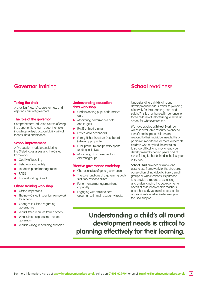## **Governor** training

#### **Taking the chair**

A practical 'how to' course for new and aspiring chairs of governors.

#### **The role of the governor**

Comprehensive induction course offering the opportunity to learn about their role including strategic accountability, critical friends, data and finance.

#### **School improvement**

A five session module considering the Ofsted focus areas and the Ofsted framework:

- **Quality of teaching**
- Behaviour and safety
- Leadership and management
- RAISE
- Understanding Ofsted.

#### **Ofsted training workshop**

- Ofsted inspections
- The new Ofsted inspection framework for schools
- Changes to Ofsted regarding governance
- What Ofsted requires from a school
- What Ofsted expects from school governors
- What is wrong in declining schools?

#### **Understanding education data workshop**

- Understanding pupil performance data
- Monitoring performance data and targets
- RAISE online training
- Ofsted data dashboard
- Family Fisher Trust Live Dashboard (where appropriate)
- Pupil premium and primary sports funding initiatives
- Monitoring of achievement for different groups.

#### **Effective governance workshop**

- Characteristics of good governance
- The core functions of a governing body statutory responsibilities
- Performance management and capability
- Engaging with stakeholders governance in multi academy trusts.

## **School** readiness

Understanding a child's all round development needs is critical to planning effectively for their learning, care and safety. This is of enhanced importance for those children at risk of failing to thrive at school for whatever reason.

We have created a **School Start** tool which is a valuable resource to observe. identify and support children and respond to their individual needs. It is of particular importance for more vulnerable children who may find the transition to school difficult and may already be developmentally behind peers and at risk of falling further behind in the first year of school.

**School Start** provides a simple and easy to use framework for the structured observation of individual children, small groups or whole cohorts. Its purpose is to provide a means of assessing and understanding the developmental needs of children to enable teachers and other early years educators to plan appropriately for effective learning and focused support.

## **Understanding a child's all round development needs is critical to planning effectively for their learning.**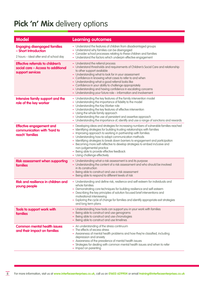## Pick 'n' Mix delivery options

| <b>Model</b>                                                                                           | <b>Learning outcomes</b>                                                                                                                                                                                                                                                                                                                                                                                                                                                                                                                                                  |
|--------------------------------------------------------------------------------------------------------|---------------------------------------------------------------------------------------------------------------------------------------------------------------------------------------------------------------------------------------------------------------------------------------------------------------------------------------------------------------------------------------------------------------------------------------------------------------------------------------------------------------------------------------------------------------------------|
| <b>Engaging disengaged families</b><br>- Short Introduction<br>2 hours - Ideal after end of school day | - Understand the features of children from disadvantaged groups<br>- Understand why families can be disengaged<br>- Consider school processes relating to these children and families<br>- Understand the factors which underpin effective engagement                                                                                                                                                                                                                                                                                                                     |
| <b>Effective referrals to children's</b><br>social care - Access to additional<br>support services     | - Understand the referral process<br>- Understand thresholds and requirements of Children's Social Care and relationship<br>to other support available<br>- Understanding what to look for in your assessment<br>- Confidence in knowing what cases to refer to and when<br>- Understanding what a good referral looks like<br>- Confidence in your ability to challenge appropriately<br>- Understanding and having confidence in escalating concerns<br>- Understanding your future role - information and involvement                                                  |
| Intensive family support and the<br>role of the key worker                                             | - Understanding the key features of the family intervention model<br>- Understanding the importance of fidelity to the model<br>- Understanding the Key Worker role<br>- Understanding the key features of effective intervention<br>- Using the whole family approach<br>- Understanding the use of persistent and assertive approach<br>- Understanding the importance of, identify and use a range of sanctions and rewards                                                                                                                                            |
| <b>Effective engagement and</b><br>communication with 'hard to<br>reach' families                      | - Developing ideas and strategies for increasing numbers of vulnerable families reached<br>- Identifying strategies for building trusting relationships with families<br>- Improving approach to working in partnership with families<br>- Understanding how to adapt communication methods<br>- Identifying strategies to break down barriers to engagement and participation<br>- Becoming more self-reflective to develop strategies to embed inclusive and<br>non-judgemental practice<br>- Being able to provide effective feedback<br>- Using challenge effectively |
| <b>Risk assessment when supporting</b><br>families                                                     | - Understanding what a risk assessment is and its purpose<br>- Understanding the content of a risk assessment and who should be involved<br>in its construction<br>- Being able to construct and use a risk assessment<br>- Being able to respond to different levels of risk                                                                                                                                                                                                                                                                                             |
| Risk and resilience in children and<br>young people                                                    | - Understanding and define risk, resilience and self-esteem for individuals and<br>whole families<br>- Demonstrating core techniques for building resilience and self-esteem<br>- Describing the key principles of solution focused brief interventions and<br>motivational interviewing<br>- Exploring the cycle of change for families and identify appropriate exit strategies<br>and long term plans                                                                                                                                                                  |
| Tools to support work with<br>families                                                                 | - Understanding how tools can support you in your work with families<br>- Being able to construct and use genograms<br>- Being able to construct and use chronologies<br>- Being able to construct and use timelines                                                                                                                                                                                                                                                                                                                                                      |
| <b>Common mental health issues</b><br>and their impact on families                                     | - An understanding of the stress continuum<br>- The effects of excess stress<br>- Awareness of mental health problems and how they're classified, including<br>depression and anxiety<br>- Awareness of the prevalence of mental health issues<br>- Strategies for dealing with common mental health issues and when to refer<br>- Impact on parenting                                                                                                                                                                                                                    |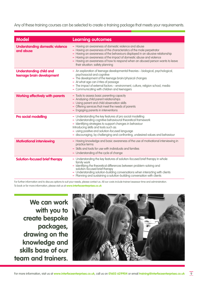Any of these training courses can be selected to create a training package that meets your requirements.

| <b>Model</b>                                                | <b>Learning outcomes</b>                                                                                                                                                                                                                                                                                                                                                                               |
|-------------------------------------------------------------|--------------------------------------------------------------------------------------------------------------------------------------------------------------------------------------------------------------------------------------------------------------------------------------------------------------------------------------------------------------------------------------------------------|
| <b>Understanding domestic violence</b><br>and abuse         | - Having an awareness of domestic violence and abuse<br>- Having an awareness of the characteristics of the male perpetrator<br>- Having an awareness of the behaviours displayed in an abusive relationship<br>- Having an awareness of the impact of domestic abuse and violence<br>- Having an awareness of how to respond when an abused person wants to leave<br>their situation: safety planning |
| <b>Understanding child and</b><br>teenage brain development | - An exploration of teenage developmental theories - biological, psychological,<br>psychosocial and cognitive<br>- The development of the teenage brain/physical changes<br>At what age can I/rites of passage<br>- The impact of external factors - environment, culture, religion school, media<br>- Communicating with children and teenagers                                                       |
| <b>Working effectively with parents</b>                     | - Tools to assess basic parenting capacity<br>- Analysing child parent relationships<br>- Using parent and child observation skills<br>- Offering services that meet the needs of parents<br>- Engaging parents in interventions                                                                                                                                                                       |
| <b>Pro social modelling</b>                                 | - Understanding the key features of pro social modelling<br>- Understanding cognitive behavioural theoretical framework<br>- Identifying strategies to support changes in behaviour<br>Introducing skills and tools such as:<br>- using positive and solution-focused language<br>- discouraging, by challenging and confronting, undesired values and behaviour                                       |
| <b>Motivational interviewing</b>                            | - Having knowledge and basic awareness of the use of motivational interviewing in<br>practice terms<br>- Skills and tools for use with individuals and families<br>- Understanding of the cycle of change                                                                                                                                                                                              |
| <b>Solution-focused brief therapy</b>                       | - Understanding the key features of solution-focused brief therapy in whole<br>family work<br>- Identifying the theoretical differences between problem-solving and<br>solution-focused brief therapy<br>- Understanding solution-building conversations when interacting with clients<br>- Planning and sustaining a solution-building conversation with clients                                      |

For further information and to discuss options to suit your needs, please contact us. All our costs include trainer/assessor time and administration. To book or for more information, please visit us at **www.interfaceenterprises.co.uk**

**We can work with you to create bespoke packages, drawing on the knowledge and skills base of our team and trainers.**

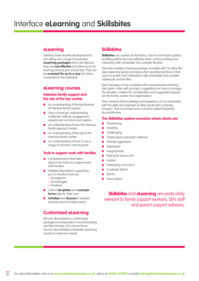## **eLearning**

Interface have recently developed and are rolling out a range of innovative **eLearning packages** which are ideal as they are **cost effective** and allow you to fit learning around your school day. They can be **accessed for up to a year** at a time, convenient to the individual.

#### **eLearning courses**

#### **Intensive family support and the role of the key worker**

- An understanding of the key features of intensive family support
- Gain a thorough understanding of effective referral, engagement, assessment contracts and reviews
- An understanding of why the intensive family approach works
- An understanding of the role of the intensive family worker
- An understanding of how to use a range of sanctions and rewards.

#### **Tools to support work with families**

- Comprehensive information about how tools can support work with families
- **•** Detailed descriptions supporting you to construct and use:
	- Genograms
	- Chronologies
	- Timelines
- Links to **templates** and **example forms** (also for later use)
- **Activities** and **Quizzes** to embed and test what has been learnt.

## **Customised eLearning**

We can also produce a customised package to incorporate in-house branding and the inclusion of in-house forms. We can also develop a bespoke eLearning course to meet your needs.

## **Skillsbites**

**Skillsbites** are a series of short films, how-to and impact guides enabling staff to be more effective when communicating and interacting with vulnerable and complex families.

We have created a training package complete with 13 online film clips exploring typical scenarios which practitioners face in their communication and interactions with vulnerable and complex individuals and families.

Each package comes complete with comprehensive training/ discussion notes with prompts, suggestions on how to manage the situation, matters for consideration and suggested impacts (on the family, worker and organisation).

They combine the knowledge and experience of our associates with the skills and expertise of video production company Emoquo. They are based upon concerns raised frequently by practitioners.

#### **The Skillsbites explore scenarios where clients are:**

- **Threatening**
- Avoiding
	- Challenging
	- Closed down (domestic violence)
	- Verbally aggressive
	- Depressed
	- Inappropriate
	- Paying lip service only
	- Evasive
	- Pretending not to be in
	- In passive denial
	- **Tearful**
	- Have visitors.

**Skillsbites** and **eLearning** are particularly relevant to family support workers, SEN staff and parent support advisors.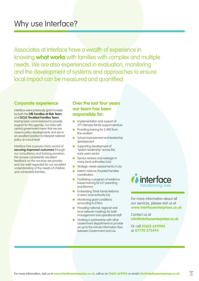## Why use Interface?

Associates at Interface have a wealth of experience in knowing **what works** with families with complex and multiple needs. We are also experienced in evaluation, monitoring and the development of systems and approaches to ensure local impact can be measured and quantified.

#### **Corporate experience**

Interface were previously grant funded by both the **DfE Families at Risk Team** and **DCLG Troubled Families Team**, having been commissioned to provide support for this agenda. Our links with central government mean that we are close to policy developments and are in an excellent position to interpret national policy at a local level.

Interface has a proven track record of **securing improved outcomes** through our consultancy and training provision. We receive consistently excellent feedback on the services we provide and are well-regarded for our excellent understanding of the needs of children and vulnerable families.

## **Over the last four years our team has been responsible for:**

- Implementation and support of 371 intensive family support services
- Providing training for 2,400 front line workers
- School improvement and leadership development
- Supporting development of 'system leadership' across the early years sector
- Service reviews and redesign in many local authorities (LAs)
- Strategic needs assessments in LAs
- Interim roles as Troubled Families coordinators
- Facilitating a program of evidence based training for 617 parenting practitioners
- Embedding Think Family Reforms in every local authority (LA)
- Monitoring grant conditions amounting to £90m
- Providing national, regional and local network meetings for both management and operational staff
- **Working in partnership with other** Government departments to provide an up to the minute information flow between Government and LAs.



For more information about all our services, please visit us at **www.interfaceenterprises.co.uk**

Contact us at **info@interfaceenterprises.co.uk**

Or call **01603 629904** or **07770 273494**